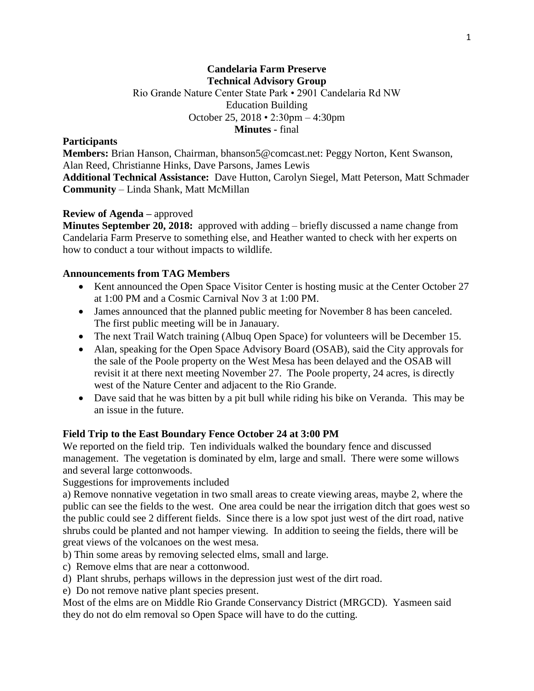### **Candelaria Farm Preserve Technical Advisory Group** Rio Grande Nature Center State Park • 2901 Candelaria Rd NW Education Building October 25, 2018 • 2:30pm – 4:30pm **Minutes -** final

#### **Participants**

**Members:** Brian Hanson, Chairman, bhanson5@comcast.net: Peggy Norton, Kent Swanson, Alan Reed, Christianne Hinks, Dave Parsons, James Lewis **Additional Technical Assistance:** Dave Hutton, Carolyn Siegel, Matt Peterson, Matt Schmader **Community** – Linda Shank, Matt McMillan

### **Review of Agenda –** approved

**Minutes September 20, 2018:** approved with adding – briefly discussed a name change from Candelaria Farm Preserve to something else, and Heather wanted to check with her experts on how to conduct a tour without impacts to wildlife.

#### **Announcements from TAG Members**

- Kent announced the Open Space Visitor Center is hosting music at the Center October 27 at 1:00 PM and a Cosmic Carnival Nov 3 at 1:00 PM.
- James announced that the planned public meeting for November 8 has been canceled. The first public meeting will be in Janauary.
- The next Trail Watch training (Albuq Open Space) for volunteers will be December 15.
- Alan, speaking for the Open Space Advisory Board (OSAB), said the City approvals for the sale of the Poole property on the West Mesa has been delayed and the OSAB will revisit it at there next meeting November 27. The Poole property, 24 acres, is directly west of the Nature Center and adjacent to the Rio Grande.
- Dave said that he was bitten by a pit bull while riding his bike on Veranda. This may be an issue in the future.

### **Field Trip to the East Boundary Fence October 24 at 3:00 PM**

We reported on the field trip. Ten individuals walked the boundary fence and discussed management. The vegetation is dominated by elm, large and small. There were some willows and several large cottonwoods.

Suggestions for improvements included

a) Remove nonnative vegetation in two small areas to create viewing areas, maybe 2, where the public can see the fields to the west. One area could be near the irrigation ditch that goes west so the public could see 2 different fields. Since there is a low spot just west of the dirt road, native shrubs could be planted and not hamper viewing. In addition to seeing the fields, there will be great views of the volcanoes on the west mesa.

b) Thin some areas by removing selected elms, small and large.

- c) Remove elms that are near a cottonwood.
- d) Plant shrubs, perhaps willows in the depression just west of the dirt road.

e) Do not remove native plant species present.

Most of the elms are on Middle Rio Grande Conservancy District (MRGCD). Yasmeen said they do not do elm removal so Open Space will have to do the cutting.